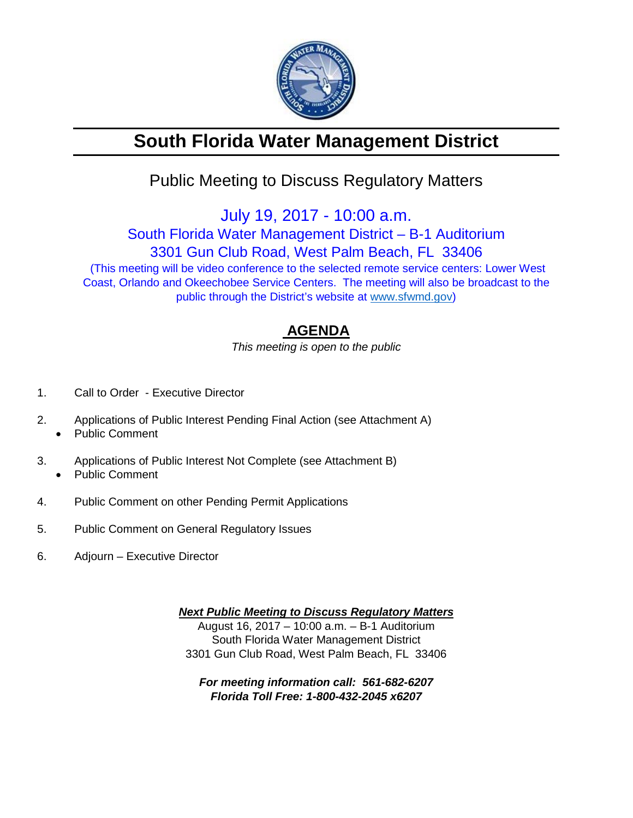

# **South Florida Water Management District**

## Public Meeting to Discuss Regulatory Matters

July 19, 2017 - 10:00 a.m.

South Florida Water Management District – B-1 Auditorium

3301 Gun Club Road, West Palm Beach, FL 33406

(This meeting will be video conference to the selected remote service centers: Lower West Coast, Orlando and Okeechobee Service Centers. The meeting will also be broadcast to the public through the District's website at [www.sfwmd.gov\)](http://www.sfwmd.gov/)

### **AGENDA**

*This meeting is open to the public*

- 1. Call to Order Executive Director
- 2. Applications of Public Interest Pending Final Action (see Attachment A)
	- Public Comment
- 3. Applications of Public Interest Not Complete (see Attachment B) • Public Comment
- 4. Public Comment on other Pending Permit Applications
- 5. Public Comment on General Regulatory Issues
- 6. Adjourn Executive Director

*Next Public Meeting to Discuss Regulatory Matters* August 16, 2017 – 10:00 a.m. – B-1 Auditorium South Florida Water Management District 3301 Gun Club Road, West Palm Beach, FL 33406

*For meeting information call: 561-682-6207 Florida Toll Free: 1-800-432-2045 x6207*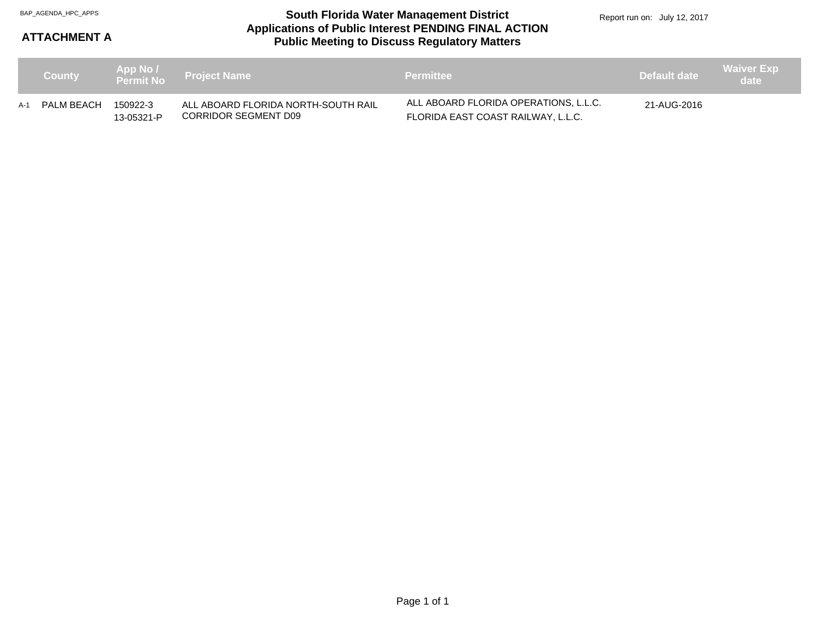#### **Applications of Public Interest PENDING FINAL ACTION Public Meeting to Discuss Regulatory Matters** BAP\_AGENDA\_HPC\_APPS **South Florida Water Management District**

Report run on: July 12, 2017

### **ATTACHMENT A**

| <b>County</b>  |                        | App No /<br>Permit No  Project Name                         | <b>Permittee</b>                                                            | Default date | <b>Waiver Exp</b><br>date |
|----------------|------------------------|-------------------------------------------------------------|-----------------------------------------------------------------------------|--------------|---------------------------|
| A-1 PALM BEACH | 150922-3<br>13-05321-P | ALL ABOARD FLORIDA NORTH-SOUTH RAIL<br>CORRIDOR SEGMENT D09 | ALL ABOARD FLORIDA OPERATIONS. L.L.C.<br>FLORIDA EAST COAST RAILWAY, L.L.C. | 21-AUG-2016  |                           |